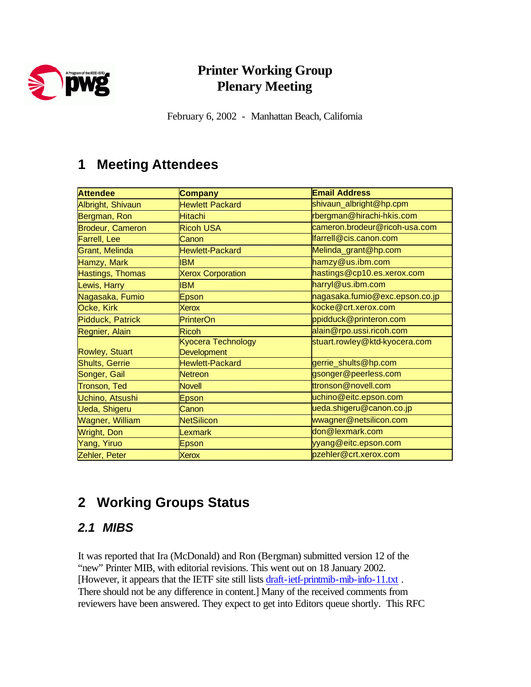

## **Printer Working Group Plenary Meeting**

February 6, 2002 - Manhattan Beach, California

## **1 Meeting Attendees**

| <b>Attendee</b>         | Company                  | <b>Email Address</b>           |
|-------------------------|--------------------------|--------------------------------|
| Albright, Shivaun       | <b>Hewlett Packard</b>   | shivaun_albright@hp.cpm        |
| Bergman, Ron            | <b>Hitachi</b>           | rbergman@hirachi-hkis.com      |
| <b>Brodeur, Cameron</b> | <b>Ricoh USA</b>         | cameron.brodeur@ricoh-usa.com  |
| Farrell, Lee            | Canon                    | farrell@cis.canon.com          |
| Grant, Melinda          | <b>Hewlett-Packard</b>   | Melinda_grant@hp.com           |
| Hamzy, Mark             | <b>IBM</b>               | hamzy@us.ibm.com               |
| Hastings, Thomas        | <b>Xerox Corporation</b> | hastings@cp10.es.xerox.com     |
| Lewis, Harry            | <b>IBM</b>               | harryl@us.ibm.com              |
| Nagasaka, Fumio         | Epson                    | nagasaka.fumio@exc.epson.co.jp |
| Ocke, Kirk              | Xerox                    | kocke@crt.xerox.com            |
| Pidduck, Patrick        | PrinterOn                | ppidduck@printeron.com         |
| Regnier, Alain          | <b>Ricoh</b>             | alain@rpo.ussi.ricoh.com       |
|                         | Kyocera Technology       | stuart.rowley@ktd-kyocera.com  |
| <b>Rowley, Stuart</b>   | <b>Development</b>       |                                |
| <b>Shults, Gerrie</b>   | <b>Hewlett-Packard</b>   | gerrie_shults@hp.com           |
| Songer, Gail            | <b>Netreon</b>           | gsonger@peerless.com           |
| Tronson, Ted            | <b>Novell</b>            | ttronson@novell.com            |
| Uchino, Atsushi         | Epson                    | uchino@eitc.epson.com          |
| Ueda, Shigeru           | Canon                    | ueda.shigeru@canon.co.jp       |
| Wagner, William         | <b>NetSilicon</b>        | wwagner@netsilicon.com         |
| <b>Wright, Don</b>      | Lexmark                  | don@lexmark.com                |
| Yang, Yiruo             | Epson                    | yyang@eitc.epson.com           |
| Zehler, Peter           | <b>Xerox</b>             | pzehler@crt.xerox.com          |

# **2 Working Groups Status**

## *2.1 MIBS*

It was reported that Ira (McDonald) and Ron (Bergman) submitted version 12 of the "new" Printer MIB, with editorial revisions. This went out on 18 January 2002. [However, it appears that the IETF site still lists draft-ietf-printmib-mib-info-11.txt. There should not be any difference in content.] Many of the received comments from reviewers have been answered. They expect to get into Editors queue shortly. This RFC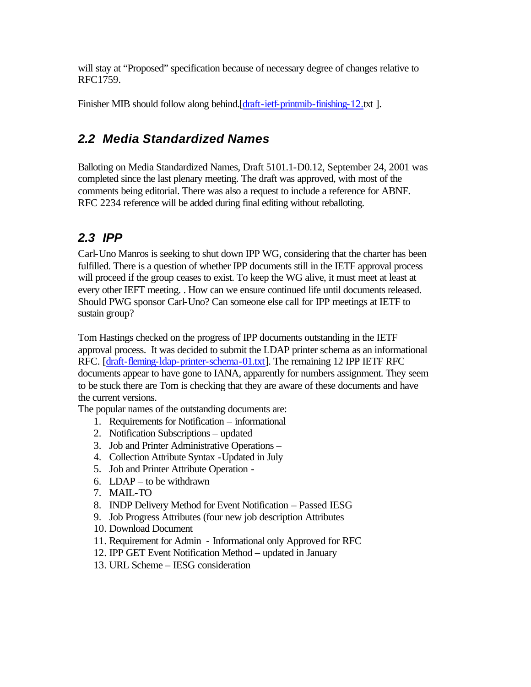will stay at "Proposed" specification because of necessary degree of changes relative to RFC1759.

Finisher MIB should follow along behind.[draft-ietf-printmib-finishing-12.txt].

### *2.2 Media Standardized Names*

Balloting on Media Standardized Names, Draft 5101.1-D0.12, September 24, 2001 was completed since the last plenary meeting. The draft was approved, with most of the comments being editorial. There was also a request to include a reference for ABNF. RFC 2234 reference will be added during final editing without reballoting.

## *2.3 IPP*

Carl-Uno Manros is seeking to shut down IPP WG, considering that the charter has been fulfilled. There is a question of whether IPP documents still in the IETF approval process will proceed if the group ceases to exist. To keep the WG alive, it must meet at least at every other IEFT meeting. . How can we ensure continued life until documents released. Should PWG sponsor Carl-Uno? Can someone else call for IPP meetings at IETF to sustain group?

Tom Hastings checked on the progress of IPP documents outstanding in the IETF approval process. It was decided to submit the LDAP printer schema as an informational RFC. [draft-fleming-ldap-printer-schema-01.txt]. The remaining 12 IPP IETF RFC documents appear to have gone to IANA, apparently for numbers assignment. They seem to be stuck there are Tom is checking that they are aware of these documents and have the current versions.

The popular names of the outstanding documents are:

- 1. Requirements for Notification informational
- 2. Notification Subscriptions updated
- 3. Job and Printer Administrative Operations –
- 4. Collection Attribute Syntax -Updated in July
- 5. Job and Printer Attribute Operation -
- 6. LDAP to be withdrawn
- 7. MAIL-TO
- 8. INDP Delivery Method for Event Notification Passed IESG
- 9. Job Progress Attributes (four new job description Attributes
- 10. Download Document
- 11. Requirement for Admin Informational only Approved for RFC
- 12. IPP GET Event Notification Method updated in January
- 13. URL Scheme IESG consideration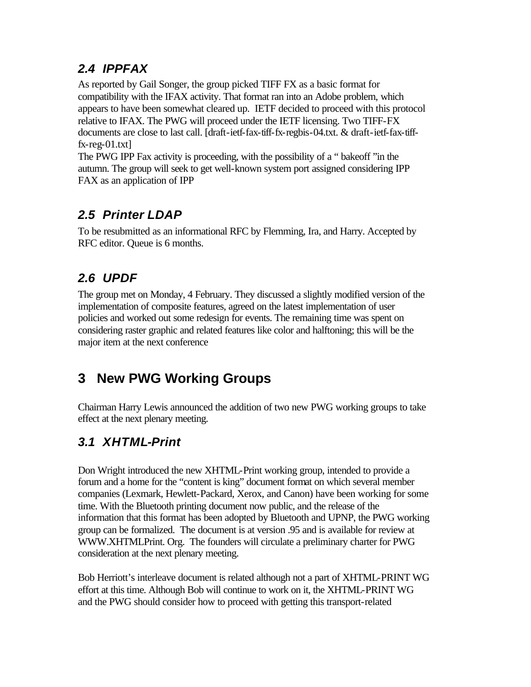### *2.4 IPPFAX*

As reported by Gail Songer, the group picked TIFF FX as a basic format for compatibility with the IFAX activity. That format ran into an Adobe problem, which appears to have been somewhat cleared up. IETF decided to proceed with this protocol relative to IFAX. The PWG will proceed under the IETF licensing. Two TIFF-FX documents are close to last call. [draft-ietf-fax-tiff-fx-regbis-04.txt. & draft-ietf-fax-tifffx-reg-01.txt]

The PWG IPP Fax activity is proceeding, with the possibility of a " bakeoff "in the autumn. The group will seek to get well-known system port assigned considering IPP FAX as an application of IPP

#### *2.5 Printer LDAP*

To be resubmitted as an informational RFC by Flemming, Ira, and Harry. Accepted by RFC editor. Queue is 6 months.

## *2.6 UPDF*

The group met on Monday, 4 February. They discussed a slightly modified version of the implementation of composite features, agreed on the latest implementation of user policies and worked out some redesign for events. The remaining time was spent on considering raster graphic and related features like color and halftoning; this will be the major item at the next conference

## **3 New PWG Working Groups**

Chairman Harry Lewis announced the addition of two new PWG working groups to take effect at the next plenary meeting.

## *3.1 XHTML-Print*

Don Wright introduced the new XHTML-Print working group, intended to provide a forum and a home for the "content is king" document format on which several member companies (Lexmark, Hewlett-Packard, Xerox, and Canon) have been working for some time. With the Bluetooth printing document now public, and the release of the information that this format has been adopted by Bluetooth and UPNP, the PWG working group can be formalized. The document is at version .95 and is available for review at WWW.XHTMLPrint. Org. The founders will circulate a preliminary charter for PWG consideration at the next plenary meeting.

Bob Herriott's interleave document is related although not a part of XHTML-PRINT WG effort at this time. Although Bob will continue to work on it, the XHTML-PRINT WG and the PWG should consider how to proceed with getting this transport-related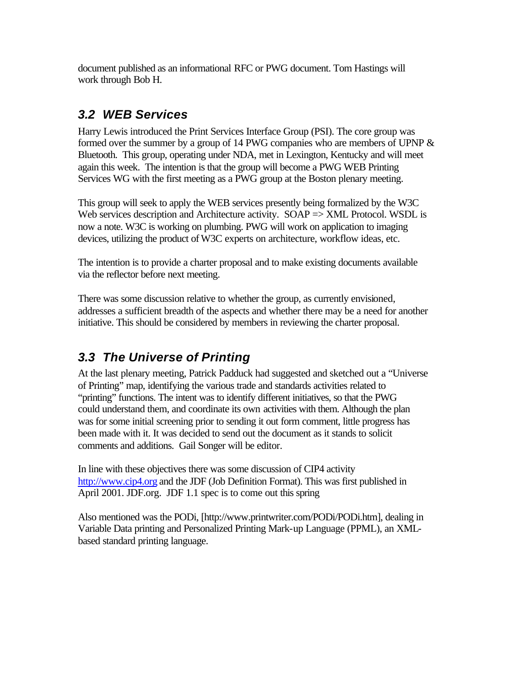document published as an informational RFC or PWG document. Tom Hastings will work through Bob H.

#### *3.2 WEB Services*

Harry Lewis introduced the Print Services Interface Group (PSI). The core group was formed over the summer by a group of 14 PWG companies who are members of UPNP  $\&$ Bluetooth. This group, operating under NDA, met in Lexington, Kentucky and will meet again this week. The intention is that the group will become a PWG WEB Printing Services WG with the first meeting as a PWG group at the Boston plenary meeting.

This group will seek to apply the WEB services presently being formalized by the W3C Web services description and Architecture activity. SOAP => XML Protocol. WSDL is now a note. W3C is working on plumbing. PWG will work on application to imaging devices, utilizing the product of W3C experts on architecture, workflow ideas, etc.

The intention is to provide a charter proposal and to make existing documents available via the reflector before next meeting.

There was some discussion relative to whether the group, as currently envisioned, addresses a sufficient breadth of the aspects and whether there may be a need for another initiative. This should be considered by members in reviewing the charter proposal.

## *3.3 The Universe of Printing*

At the last plenary meeting, Patrick Padduck had suggested and sketched out a "Universe of Printing" map, identifying the various trade and standards activities related to "printing" functions. The intent was to identify different initiatives, so that the PWG could understand them, and coordinate its own activities with them. Although the plan was for some initial screening prior to sending it out form comment, little progress has been made with it. It was decided to send out the document as it stands to solicit comments and additions. Gail Songer will be editor.

In line with these objectives there was some discussion of CIP4 activity http://www.cip4.org and the JDF (Job Definition Format). This was first published in April 2001. JDF.org. JDF 1.1 spec is to come out this spring

Also mentioned was the PODi, [http://www.printwriter.com/PODi/PODi.htm], dealing in Variable Data printing and Personalized Printing Mark-up Language (PPML), an XMLbased standard printing language.